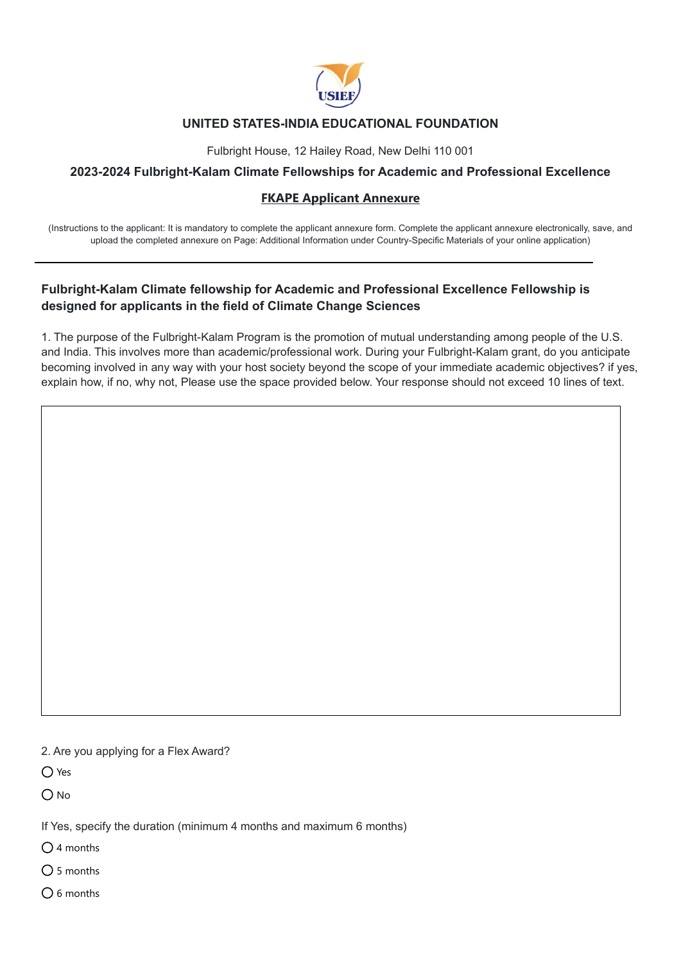

# **UNITED STATES-INDIA EDUCATIONAL FOUNDATION**

Fulbright House, 12 Hailey Road, New Delhi 110 001

## **2023-2024 Fulbright-Kalam Climate Fellowships for Academic and Professional Excellence**

### **FKAPE Applicant Annexure**

(Instructions to the applicant: It is mandatory to complete the applicant annexure form. Complete the applicant annexure electronically, save, and upload the completed annexure on Page: Additional Information under Country-Specific Materials of your online application)

# **Fulbright-Kalam Climate fellowship for Academic and Professional Excellence Fellowship is designed for applicants in the field of Climate Change Sciences**

1. The purpose of the Fulbright-Kalam Program is the promotion of mutual understanding among people of the U.S. and India. This involves more than academic/professional work. During your Fulbright-Kalam grant, do you anticipate becoming involved in any way with your host society beyond the scope of your immediate academic objectives? if yes, explain how, if no, why not, Please use the space provided below. Your response should not exceed 10 lines of text.

2. Are you applying for a Flex Award?

O Yes

 $O$  No

If Yes, specify the duration (minimum 4 months and maximum 6 months)

 $\bigcap$  4 months

 $\bigcap$  5 months

 $O$  6 months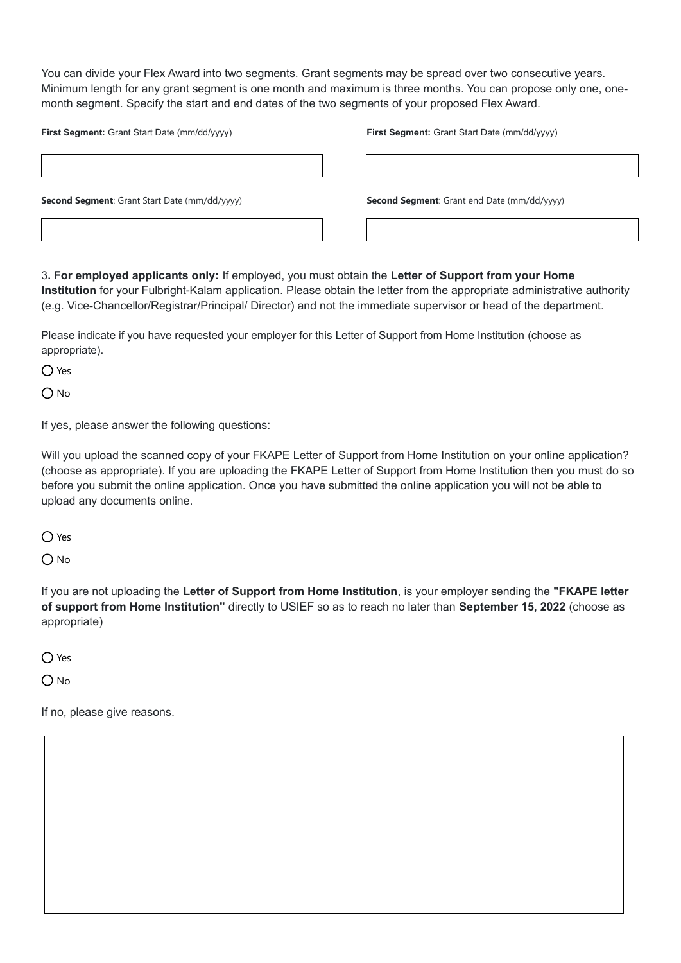You can divide your Flex Award into two segments. Grant segments may be spread over two consecutive years. Minimum length for any grant segment is one month and maximum is three months. You can propose only one, onemonth segment. Specify the start and end dates of the two segments of your proposed Flex Award.

| First Segment: Grant Start Date (mm/dd/yyyy)         | First Segment: Grant Start Date (mm/dd/yyyy)       |
|------------------------------------------------------|----------------------------------------------------|
|                                                      |                                                    |
| <b>Second Segment:</b> Grant Start Date (mm/dd/yyyy) | <b>Second Segment:</b> Grant end Date (mm/dd/yyyy) |
|                                                      |                                                    |

3**. For employed applicants only:** If employed, you must obtain the **Letter of Support from your Home Institution** for your Fulbright-Kalam application. Please obtain the letter from the appropriate administrative authority (e.g. Vice-Chancellor/Registrar/Principal/ Director) and not the immediate supervisor or head of the department.

Please indicate if you have requested your employer for this Letter of Support from Home Institution (choose as appropriate).

O Yes

 $O$  No

If yes, please answer the following questions:

Will you upload the scanned copy of your FKAPE Letter of Support from Home Institution on your online application? (choose as appropriate). If you are uploading the FKAPE Letter of Support from Home Institution then you must do so before you submit the online application. Once you have submitted the online application you will not be able to upload any documents online.

 $\bigcap$  Yes

 $O$  No

If you are not uploading the **Letter of Support from Home Institution**, is your employer sending the **"FKAPE letter of support from Home Institution"** directly to USIEF so as to reach no later than **September 15, 2022** (choose as appropriate)

 $\bigcap$  Yes

 $O$  No

If no, please give reasons.